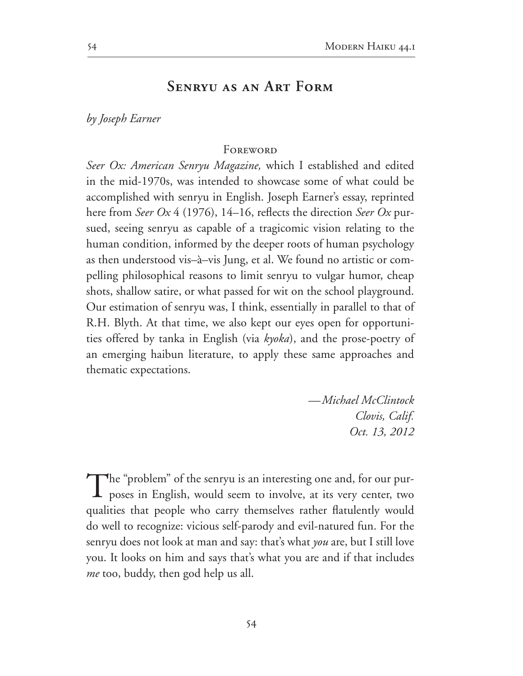## **Senryu as an Art Form**

*by Joseph Earner*

## **FOREWORD**

*Seer Ox: American Senryu Magazine*, which I established and edited in the mid-1970s, was intended to showcase some of what could be accomplished with senryu in English. Joseph Earner's essay, reprinted here from *Seer Ox* 4 (1976), 14–16, reflects the direction *Seer Ox* pursued, seeing senryu as capable of a tragicomic vision relating to the human condition, informed by the deeper roots of human psychology as then understood vis–à–vis Jung, et al. We found no artistic or com pelling philosophical reasons to limit senryu to vulgar humor, cheap shots, shallow satire, or what passed for wit on the school playground. Our estimation of senryu was, I think, essentially in parallel to that of R.H. Blyth. At that time, we also kept our eyes open for opportuni ties offered by tanka in English (via *kyoka*), and the prose-poetry of an emerging haibun literature, to apply these same approaches and thematic expectations.

> *—Michael McClintock Clovis, Calif. Oct. 13, 2012*

The "problem" of the senryu is an interesting one and, for our purposes in English, would seem to involve, at its very center, two qualities that people who carry themselves rather flatulently would do well to recognize: vicious self-parody and evil-natured fun. For the senryu does not look at man and say: that's what *you* are, but I still love you. It looks on him and says that's what you are and if that includes *me* too, buddy, then god help us all.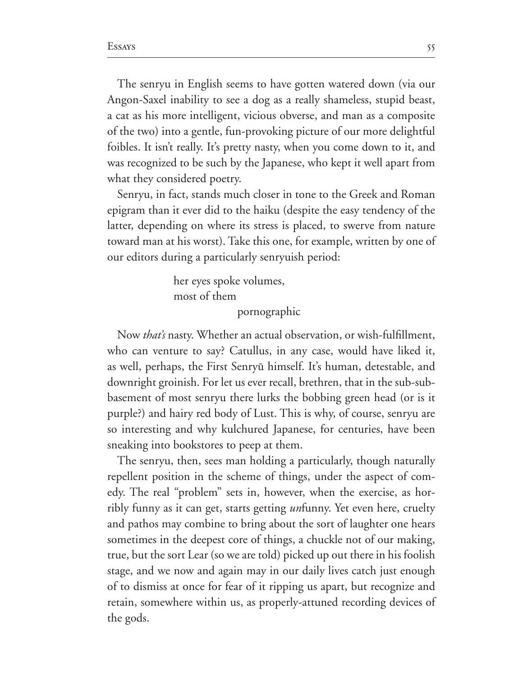The senryu in English seems to have gotten watered down (via our Angon-Saxel inability to see a dog as a really shameless, stupid beast, a cat as his more intelligent, vicious obverse, and man as a composite of the two) into a gentle, fun-provoking picture of our more delightful foibles. It isn't really. It's pretty nasty, when you come down to it, and was recognized to be such by the Japanese, who kept it well apart from what they considered poetry.

Senryu, in fact, stands much closer in tone to the Greek and Roman epigram than it ever did to the haiku (despite the easy tendency of the latter, depending on where its stress is placed, to swerve from nature toward man at his worst). Take this one, for example, written by one of our editors during a particularly senryuish period:

> her eyes spoke volumes, most of them pornographic

Now *that's* nasty. Whether an actual observation, or wish-fulfillment, who can venture to say? Catullus, in any case, would have liked it, as well, perhaps, the First Senryū himself. It's human, detestable, and downright groinish. For let us ever recall, brethren, that in the sub-subbasement of most senryu there lurks the bobbing green head (or is it purple?) and hairy red body of Lust. This is why, of course, senryu are so interesting and why kulchured Japanese, for centuries, have been sneaking into bookstores to peep at them.

The senryu, then, sees man holding a particularly, though naturally repellent position in the scheme of things, under the aspect of com edy. The real "problem" sets in, however, when the exercise, as horribly funny as it can get, starts getting *un*funny. Yet even here, cruelty and pathos may combine to bring about the sort of laughter one hears sometimes in the deepest core of things, a chuckle not of our making, true, but the sort Lear (so we are told) picked up out there in his foolish stage, and we now and again may in our daily lives catch just enough of to dismiss at once for fear of it ripping us apart, but recognize and retain, somewhere within us, as properly-attuned recording devices of the gods.